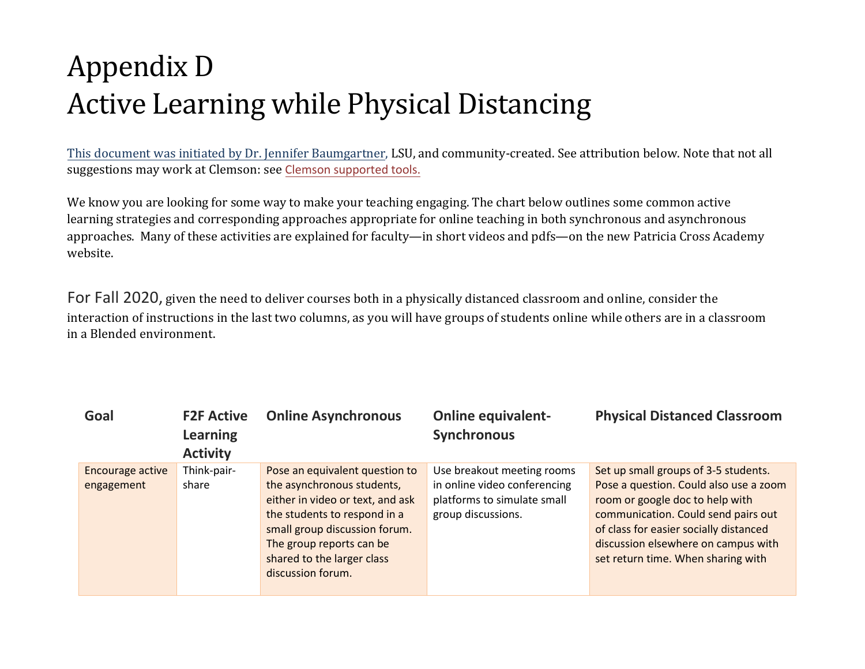## Appendix D Active Learning while Physical Distancing

This document was initiated by Dr. Jennifer Baumgartner, LSU, and community-created. See attribution below. Note that not all suggestions may work at Clemson: see Clemson supported tools.

We know you are looking for some way to make your teaching engaging. The chart below outlines some common active learning strategies and corresponding approaches appropriate for online teaching in both synchronous and asynchronous approaches. Many of these activities are explained for faculty—in short videos and pdfs—on the new Patricia Cross Academy website.

F[or Fall 2020,](https://docs.google.com/document/d/15ZtTu2pmQRU_eC3gMccVhVwDR57PDs4uxlMB7Bs1os8/edit?usp=sharing) given the need to deliver courses both in a physically distanced classroom and online, consider the interaction of instructio[ns in the last two column](https://www.clemson.edu/online/tools/)s, as you will have groups of students online while others are in a classroom in a Blended environment.

| Goal             | <b>F2F Active</b><br><b>Learning</b><br><b>Activity</b> | <b>Online Asynchronous</b>                                                                                                                                                                                     | <b>Online equivalent-</b><br><b>Synchronous</b>                                   | <b>Physical Distanced Classroom</b>                                                                                                                                                                                                     |
|------------------|---------------------------------------------------------|----------------------------------------------------------------------------------------------------------------------------------------------------------------------------------------------------------------|-----------------------------------------------------------------------------------|-----------------------------------------------------------------------------------------------------------------------------------------------------------------------------------------------------------------------------------------|
| Encourage active | Think-pair-                                             | Pose an equivalent question to                                                                                                                                                                                 | Use breakout meeting rooms                                                        | Set up small groups of 3-5 students.                                                                                                                                                                                                    |
| engagement       | share                                                   | the asynchronous students,<br>either in video or text, and ask<br>the students to respond in a<br>small group discussion forum.<br>The group reports can be<br>shared to the larger class<br>discussion forum. | in online video conferencing<br>platforms to simulate small<br>group discussions. | Pose a question. Could also use a zoom<br>room or google doc to help with<br>communication. Could send pairs out<br>of class for easier socially distanced<br>discussion elsewhere on campus with<br>set return time. When sharing with |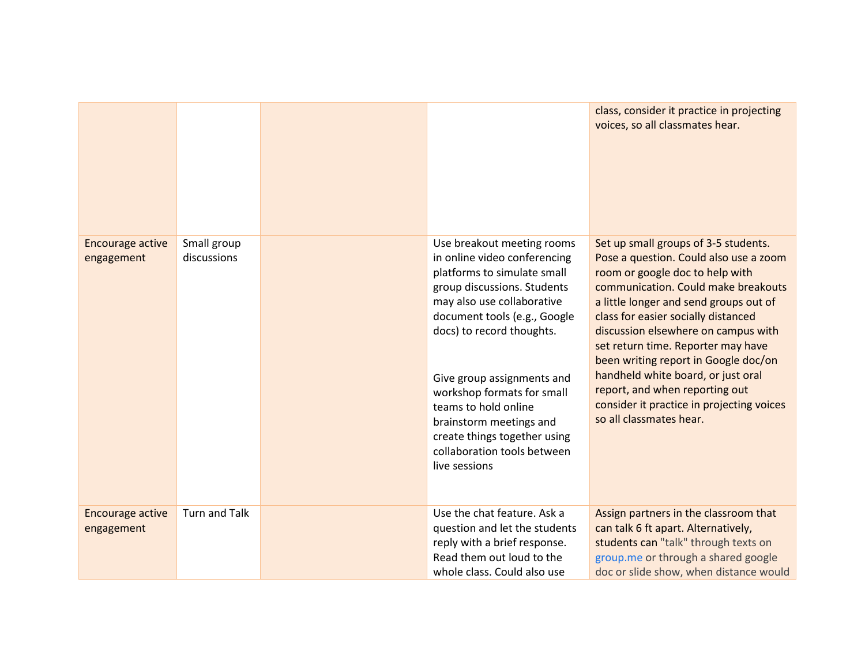|                                       |                            |                                                                                                                                                                                                                                                                                                                                                                                                                    | class, consider it practice in projecting<br>voices, so all classmates hear.                                                                                                                                                                                                                                                                                                                                                                                                                                   |
|---------------------------------------|----------------------------|--------------------------------------------------------------------------------------------------------------------------------------------------------------------------------------------------------------------------------------------------------------------------------------------------------------------------------------------------------------------------------------------------------------------|----------------------------------------------------------------------------------------------------------------------------------------------------------------------------------------------------------------------------------------------------------------------------------------------------------------------------------------------------------------------------------------------------------------------------------------------------------------------------------------------------------------|
| <b>Encourage active</b><br>engagement | Small group<br>discussions | Use breakout meeting rooms<br>in online video conferencing<br>platforms to simulate small<br>group discussions. Students<br>may also use collaborative<br>document tools (e.g., Google<br>docs) to record thoughts.<br>Give group assignments and<br>workshop formats for small<br>teams to hold online<br>brainstorm meetings and<br>create things together using<br>collaboration tools between<br>live sessions | Set up small groups of 3-5 students.<br>Pose a question. Could also use a zoom<br>room or google doc to help with<br>communication. Could make breakouts<br>a little longer and send groups out of<br>class for easier socially distanced<br>discussion elsewhere on campus with<br>set return time. Reporter may have<br>been writing report in Google doc/on<br>handheld white board, or just oral<br>report, and when reporting out<br>consider it practice in projecting voices<br>so all classmates hear. |
| <b>Encourage active</b><br>engagement | <b>Turn and Talk</b>       | Use the chat feature. Ask a<br>question and let the students<br>reply with a brief response.<br>Read them out loud to the<br>whole class. Could also use                                                                                                                                                                                                                                                           | Assign partners in the classroom that<br>can talk 6 ft apart. Alternatively,<br>students can "talk" through texts on<br>group.me or through a shared google<br>doc or slide show, when distance would                                                                                                                                                                                                                                                                                                          |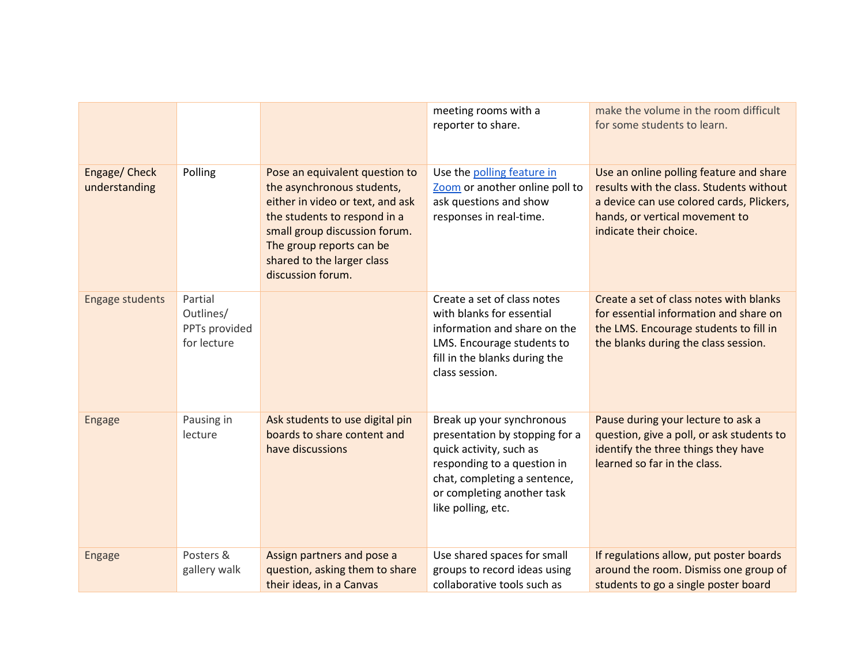|                                |                                                      |                                                                                                                                                                                                                                                  | meeting rooms with a<br>reporter to share.                                                                                                                                                                | make the volume in the room difficult<br>for some students to learn.                                                                                                                         |
|--------------------------------|------------------------------------------------------|--------------------------------------------------------------------------------------------------------------------------------------------------------------------------------------------------------------------------------------------------|-----------------------------------------------------------------------------------------------------------------------------------------------------------------------------------------------------------|----------------------------------------------------------------------------------------------------------------------------------------------------------------------------------------------|
| Engage/ Check<br>understanding | Polling                                              | Pose an equivalent question to<br>the asynchronous students,<br>either in video or text, and ask<br>the students to respond in a<br>small group discussion forum.<br>The group reports can be<br>shared to the larger class<br>discussion forum. | Use the polling feature in<br>Zoom or another online poll to<br>ask questions and show<br>responses in real-time.                                                                                         | Use an online polling feature and share<br>results with the class. Students without<br>a device can use colored cards, Plickers,<br>hands, or vertical movement to<br>indicate their choice. |
| <b>Engage students</b>         | Partial<br>Outlines/<br>PPTs provided<br>for lecture |                                                                                                                                                                                                                                                  | Create a set of class notes<br>with blanks for essential<br>information and share on the<br>LMS. Encourage students to<br>fill in the blanks during the<br>class session.                                 | Create a set of class notes with blanks<br>for essential information and share on<br>the LMS. Encourage students to fill in<br>the blanks during the class session.                          |
| <b>Engage</b>                  | Pausing in<br>lecture                                | Ask students to use digital pin<br>boards to share content and<br>have discussions                                                                                                                                                               | Break up your synchronous<br>presentation by stopping for a<br>quick activity, such as<br>responding to a question in<br>chat, completing a sentence,<br>or completing another task<br>like polling, etc. | Pause during your lecture to ask a<br>question, give a poll, or ask students to<br>identify the three things they have<br>learned so far in the class.                                       |
| <b>Engage</b>                  | Posters &<br>gallery walk                            | Assign partners and pose a<br>question, asking them to share<br>their ideas, in a Canvas                                                                                                                                                         | Use shared spaces for small<br>groups to record ideas using<br>collaborative tools such as                                                                                                                | If regulations allow, put poster boards<br>around the room. Dismiss one group of<br>students to go a single poster board                                                                     |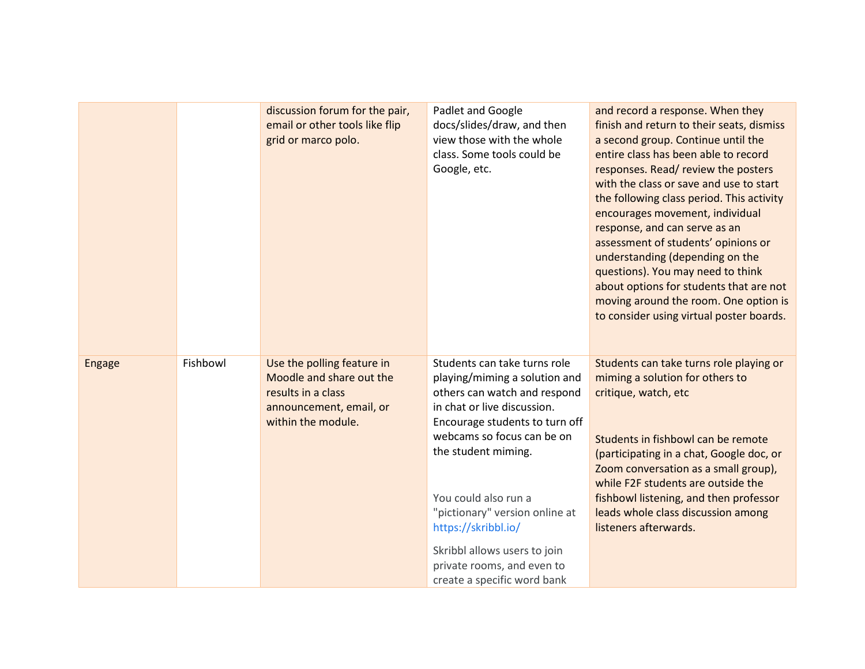|               |          | discussion forum for the pair,<br>email or other tools like flip<br>grid or marco polo.                                       | Padlet and Google<br>docs/slides/draw, and then<br>view those with the whole<br>class. Some tools could be<br>Google, etc.                                                                                                                                                                                                                                                                        | and record a response. When they<br>finish and return to their seats, dismiss<br>a second group. Continue until the<br>entire class has been able to record<br>responses. Read/review the posters<br>with the class or save and use to start<br>the following class period. This activity<br>encourages movement, individual<br>response, and can serve as an<br>assessment of students' opinions or<br>understanding (depending on the<br>questions). You may need to think<br>about options for students that are not<br>moving around the room. One option is<br>to consider using virtual poster boards. |
|---------------|----------|-------------------------------------------------------------------------------------------------------------------------------|---------------------------------------------------------------------------------------------------------------------------------------------------------------------------------------------------------------------------------------------------------------------------------------------------------------------------------------------------------------------------------------------------|--------------------------------------------------------------------------------------------------------------------------------------------------------------------------------------------------------------------------------------------------------------------------------------------------------------------------------------------------------------------------------------------------------------------------------------------------------------------------------------------------------------------------------------------------------------------------------------------------------------|
| <b>Engage</b> | Fishbowl | Use the polling feature in<br>Moodle and share out the<br>results in a class<br>announcement, email, or<br>within the module. | Students can take turns role<br>playing/miming a solution and<br>others can watch and respond<br>in chat or live discussion.<br>Encourage students to turn off<br>webcams so focus can be on<br>the student miming.<br>You could also run a<br>"pictionary" version online at<br>https://skribbl.io/<br>Skribbl allows users to join<br>private rooms, and even to<br>create a specific word bank | Students can take turns role playing or<br>miming a solution for others to<br>critique, watch, etc<br>Students in fishbowl can be remote<br>(participating in a chat, Google doc, or<br>Zoom conversation as a small group),<br>while F2F students are outside the<br>fishbowl listening, and then professor<br>leads whole class discussion among<br>listeners afterwards.                                                                                                                                                                                                                                  |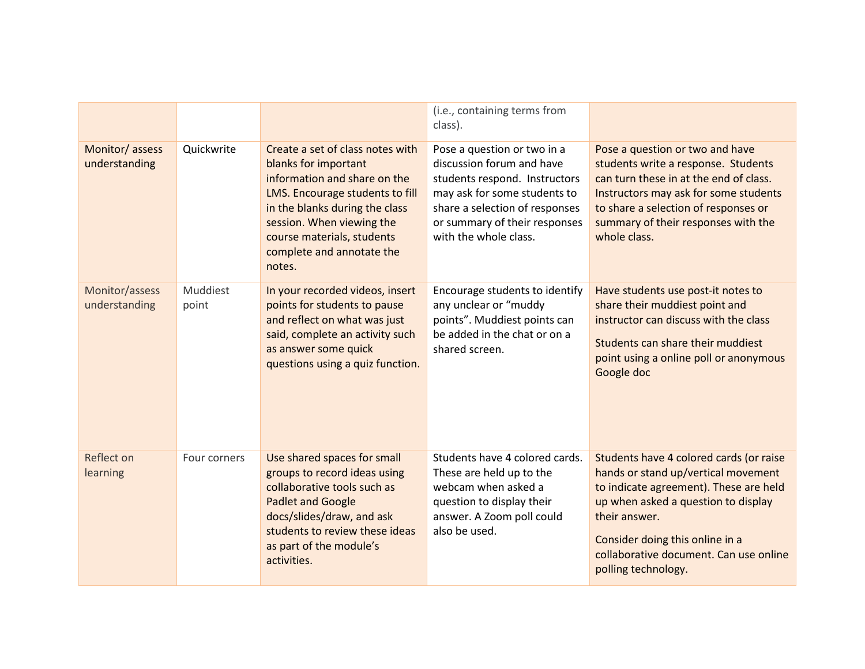|                                 |                   |                                                                                                                                                                                                                                                                 | (i.e., containing terms from<br>class).                                                                                                                                                                               |                                                                                                                                                                                                                                                                                      |
|---------------------------------|-------------------|-----------------------------------------------------------------------------------------------------------------------------------------------------------------------------------------------------------------------------------------------------------------|-----------------------------------------------------------------------------------------------------------------------------------------------------------------------------------------------------------------------|--------------------------------------------------------------------------------------------------------------------------------------------------------------------------------------------------------------------------------------------------------------------------------------|
| Monitor/assess<br>understanding | Quickwrite        | Create a set of class notes with<br>blanks for important<br>information and share on the<br>LMS. Encourage students to fill<br>in the blanks during the class<br>session. When viewing the<br>course materials, students<br>complete and annotate the<br>notes. | Pose a question or two in a<br>discussion forum and have<br>students respond. Instructors<br>may ask for some students to<br>share a selection of responses<br>or summary of their responses<br>with the whole class. | Pose a question or two and have<br>students write a response. Students<br>can turn these in at the end of class.<br>Instructors may ask for some students<br>to share a selection of responses or<br>summary of their responses with the<br>whole class.                             |
| Monitor/assess<br>understanding | Muddiest<br>point | In your recorded videos, insert<br>points for students to pause<br>and reflect on what was just<br>said, complete an activity such<br>as answer some quick<br>questions using a quiz function.                                                                  | Encourage students to identify<br>any unclear or "muddy<br>points". Muddiest points can<br>be added in the chat or on a<br>shared screen.                                                                             | Have students use post-it notes to<br>share their muddiest point and<br>instructor can discuss with the class<br>Students can share their muddiest<br>point using a online poll or anonymous<br>Google doc                                                                           |
| Reflect on<br>learning          | Four corners      | Use shared spaces for small<br>groups to record ideas using<br>collaborative tools such as<br><b>Padlet and Google</b><br>docs/slides/draw, and ask<br>students to review these ideas<br>as part of the module's<br>activities.                                 | Students have 4 colored cards.<br>These are held up to the<br>webcam when asked a<br>question to display their<br>answer. A Zoom poll could<br>also be used.                                                          | Students have 4 colored cards (or raise<br>hands or stand up/vertical movement<br>to indicate agreement). These are held<br>up when asked a question to display<br>their answer.<br>Consider doing this online in a<br>collaborative document. Can use online<br>polling technology. |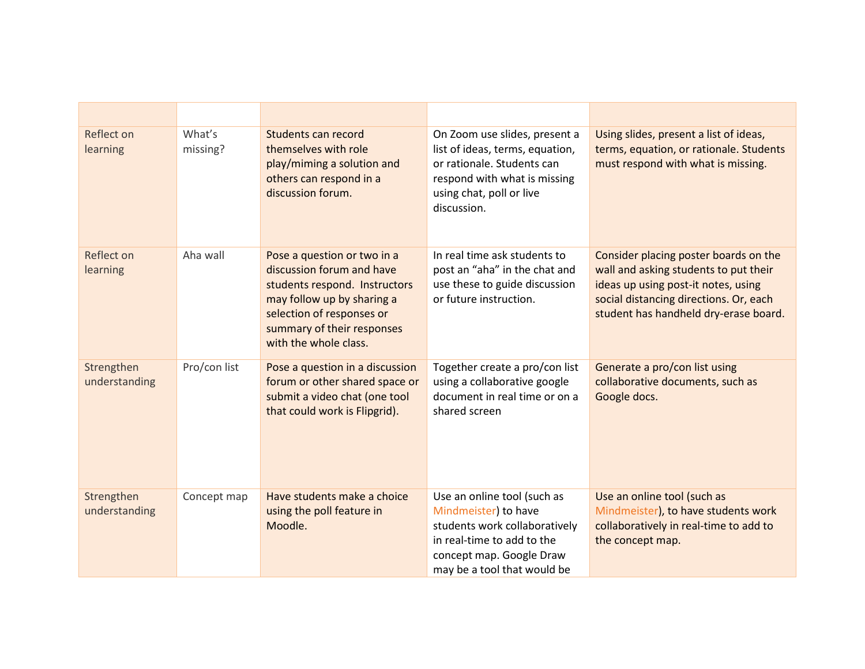| Reflect on<br>learning      | What's<br>missing? | Students can record<br>themselves with role<br>play/miming a solution and<br>others can respond in a<br>discussion forum.                                                                                   | On Zoom use slides, present a<br>list of ideas, terms, equation,<br>or rationale. Students can<br>respond with what is missing<br>using chat, poll or live<br>discussion.     | Using slides, present a list of ideas,<br>terms, equation, or rationale. Students<br>must respond with what is missing.                                                                                  |
|-----------------------------|--------------------|-------------------------------------------------------------------------------------------------------------------------------------------------------------------------------------------------------------|-------------------------------------------------------------------------------------------------------------------------------------------------------------------------------|----------------------------------------------------------------------------------------------------------------------------------------------------------------------------------------------------------|
| Reflect on<br>learning      | Aha wall           | Pose a question or two in a<br>discussion forum and have<br>students respond. Instructors<br>may follow up by sharing a<br>selection of responses or<br>summary of their responses<br>with the whole class. | In real time ask students to<br>post an "aha" in the chat and<br>use these to guide discussion<br>or future instruction.                                                      | Consider placing poster boards on the<br>wall and asking students to put their<br>ideas up using post-it notes, using<br>social distancing directions. Or, each<br>student has handheld dry-erase board. |
| Strengthen<br>understanding | Pro/con list       | Pose a question in a discussion<br>forum or other shared space or<br>submit a video chat (one tool<br>that could work is Flipgrid).                                                                         | Together create a pro/con list<br>using a collaborative google<br>document in real time or on a<br>shared screen                                                              | Generate a pro/con list using<br>collaborative documents, such as<br>Google docs.                                                                                                                        |
| Strengthen<br>understanding | Concept map        | Have students make a choice<br>using the poll feature in<br>Moodle.                                                                                                                                         | Use an online tool (such as<br>Mindmeister) to have<br>students work collaboratively<br>in real-time to add to the<br>concept map. Google Draw<br>may be a tool that would be | Use an online tool (such as<br>Mindmeister), to have students work<br>collaboratively in real-time to add to<br>the concept map.                                                                         |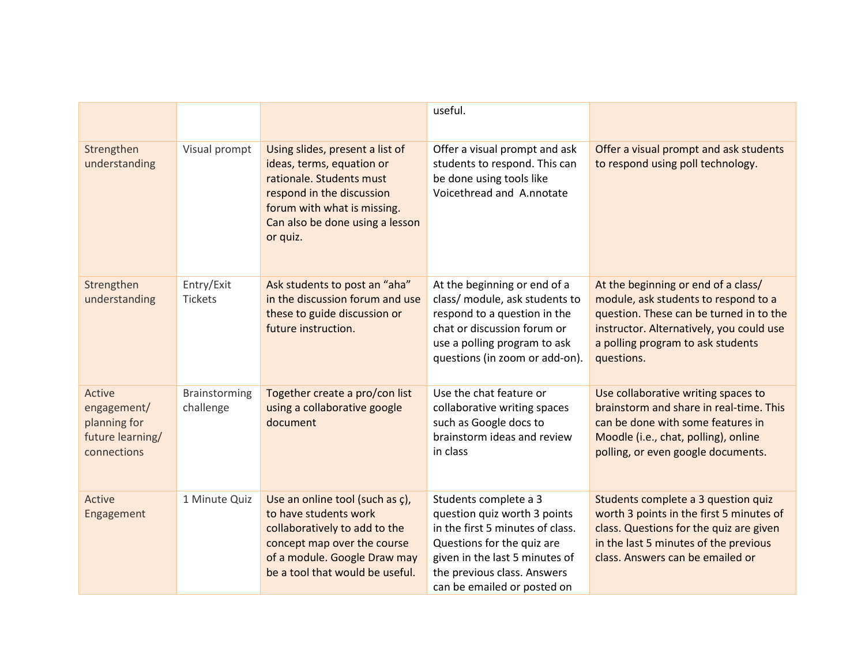|                                                                          |                            |                                                                                                                                                                                                     | useful.                                                                                                                                                                                                                 |                                                                                                                                                                                                                       |
|--------------------------------------------------------------------------|----------------------------|-----------------------------------------------------------------------------------------------------------------------------------------------------------------------------------------------------|-------------------------------------------------------------------------------------------------------------------------------------------------------------------------------------------------------------------------|-----------------------------------------------------------------------------------------------------------------------------------------------------------------------------------------------------------------------|
| Strengthen<br>understanding                                              | Visual prompt              | Using slides, present a list of<br>ideas, terms, equation or<br>rationale. Students must<br>respond in the discussion<br>forum with what is missing.<br>Can also be done using a lesson<br>or quiz. | Offer a visual prompt and ask<br>students to respond. This can<br>be done using tools like<br>Voicethread and A.nnotate                                                                                                 | Offer a visual prompt and ask students<br>to respond using poll technology.                                                                                                                                           |
| Strengthen<br>understanding                                              | Entry/Exit<br>Tickets      | Ask students to post an "aha"<br>in the discussion forum and use<br>these to guide discussion or<br>future instruction.                                                                             | At the beginning or end of a<br>class/ module, ask students to<br>respond to a question in the<br>chat or discussion forum or<br>use a polling program to ask<br>questions (in zoom or add-on).                         | At the beginning or end of a class/<br>module, ask students to respond to a<br>question. These can be turned in to the<br>instructor. Alternatively, you could use<br>a polling program to ask students<br>questions. |
| Active<br>engagement/<br>planning for<br>future learning/<br>connections | Brainstorming<br>challenge | Together create a pro/con list<br>using a collaborative google<br>document                                                                                                                          | Use the chat feature or<br>collaborative writing spaces<br>such as Google docs to<br>brainstorm ideas and review<br>in class                                                                                            | Use collaborative writing spaces to<br>brainstorm and share in real-time. This<br>can be done with some features in<br>Moodle (i.e., chat, polling), online<br>polling, or even google documents.                     |
| Active<br>Engagement                                                     | 1 Minute Quiz              | Use an online tool (such as c),<br>to have students work<br>collaboratively to add to the<br>concept map over the course<br>of a module. Google Draw may<br>be a tool that would be useful.         | Students complete a 3<br>question quiz worth 3 points<br>in the first 5 minutes of class.<br>Questions for the quiz are<br>given in the last 5 minutes of<br>the previous class. Answers<br>can be emailed or posted on | Students complete a 3 question quiz<br>worth 3 points in the first 5 minutes of<br>class. Questions for the quiz are given<br>in the last 5 minutes of the previous<br>class. Answers can be emailed or               |